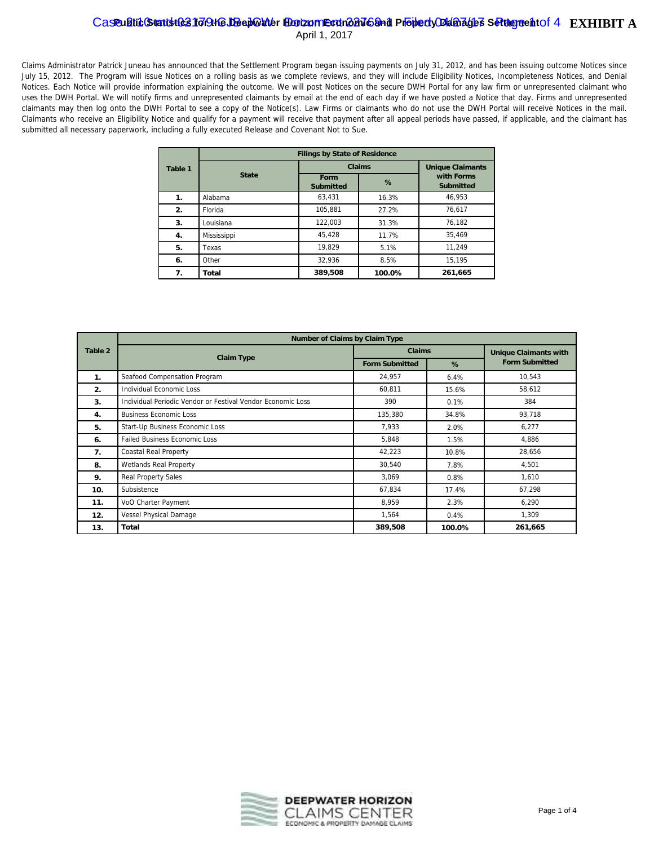### $\bf C$ as Pu**blic Statistics for the Deepwater Horizon Economic and Property Damages Settlement** of  $4$   $\bf EXHIBIT$  A April 1, 2017

Claims Administrator Patrick Juneau has announced that the Settlement Program began issuing payments on July 31, 2012, and has been issuing outcome Notices since July 15, 2012. The Program will issue Notices on a rolling basis as we complete reviews, and they will include Eligibility Notices, Incompleteness Notices, and Denial Notices. Each Notice will provide information explaining the outcome. We will post Notices on the secure DWH Portal for any law firm or unrepresented claimant who uses the DWH Portal. We will notify firms and unrepresented claimants by email at the end of each day if we have posted a Notice that day. Firms and unrepresented claimants may then log onto the DWH Portal to see a copy of the Notice(s). Law Firms or claimants who do not use the DWH Portal will receive Notices in the mail. Claimants who receive an Eligibility Notice and qualify for a payment will receive that payment after all appeal periods have passed, if applicable, and the claimant has submitted all necessary paperwork, including a fully executed Release and Covenant Not to Sue.

|         | <b>Filings by State of Residence</b> |                          |                         |                                |  |  |  |  |
|---------|--------------------------------------|--------------------------|-------------------------|--------------------------------|--|--|--|--|
| Table 1 |                                      | Claims                   | <b>Unique Claimants</b> |                                |  |  |  |  |
|         | <b>State</b>                         | Form<br><b>Submitted</b> | $\%$                    | with Forms<br><b>Submitted</b> |  |  |  |  |
| 1.      | Alabama                              | 63.431                   | 16.3%                   | 46.953                         |  |  |  |  |
| 2.      | Florida                              | 105.881                  | 27.2%                   | 76.617                         |  |  |  |  |
| 3.      | Louisiana                            | 122.003                  | 31.3%                   | 76,182                         |  |  |  |  |
| 4.      | Mississippi                          | 45.428                   | 11.7%                   | 35.469                         |  |  |  |  |
| 5.      | Texas                                | 19.829                   | 5.1%                    | 11.249                         |  |  |  |  |
| 6.      | Other                                | 32.936                   | 8.5%                    | 15.195                         |  |  |  |  |
| 7.      | <b>Total</b>                         | 389,508                  | 100.0%                  | 261,665                        |  |  |  |  |

|         | Number of Claims by Claim Type                              |                       |                              |                       |  |  |  |  |  |  |
|---------|-------------------------------------------------------------|-----------------------|------------------------------|-----------------------|--|--|--|--|--|--|
| Table 2 |                                                             | <b>Claims</b>         | <b>Unique Claimants with</b> |                       |  |  |  |  |  |  |
|         | <b>Claim Type</b>                                           | <b>Form Submitted</b> | $\%$                         | <b>Form Submitted</b> |  |  |  |  |  |  |
| 1.      | Seafood Compensation Program                                | 24,957                | 6.4%                         | 10,543                |  |  |  |  |  |  |
| 2.      | Individual Economic Loss                                    | 60,811                | 15.6%                        | 58,612                |  |  |  |  |  |  |
| 3.      | Individual Periodic Vendor or Festival Vendor Economic Loss | 390                   | 0.1%                         | 384                   |  |  |  |  |  |  |
| 4.      | <b>Business Economic Loss</b>                               | 135,380               | 34.8%                        | 93,718                |  |  |  |  |  |  |
| 5.      | Start-Up Business Economic Loss                             | 7,933                 | 2.0%                         | 6,277                 |  |  |  |  |  |  |
| 6.      | <b>Failed Business Economic Loss</b>                        | 5,848                 | 1.5%                         | 4,886                 |  |  |  |  |  |  |
| 7.      | Coastal Real Property                                       | 42,223                | 10.8%                        | 28,656                |  |  |  |  |  |  |
| 8.      | <b>Wetlands Real Property</b>                               | 30,540                | 7.8%                         | 4,501                 |  |  |  |  |  |  |
| 9.      | <b>Real Property Sales</b>                                  | 3,069                 | 0.8%                         | 1,610                 |  |  |  |  |  |  |
| 10.     | Subsistence                                                 | 67,834                | 17.4%                        | 67,298                |  |  |  |  |  |  |
| 11.     | VoO Charter Payment                                         | 8,959                 | 2.3%                         | 6,290                 |  |  |  |  |  |  |
| 12.     | Vessel Physical Damage                                      | 1,564                 | 0.4%                         | 1,309                 |  |  |  |  |  |  |
| 13.     | Total                                                       | 389,508               | 100.0%                       | 261,665               |  |  |  |  |  |  |

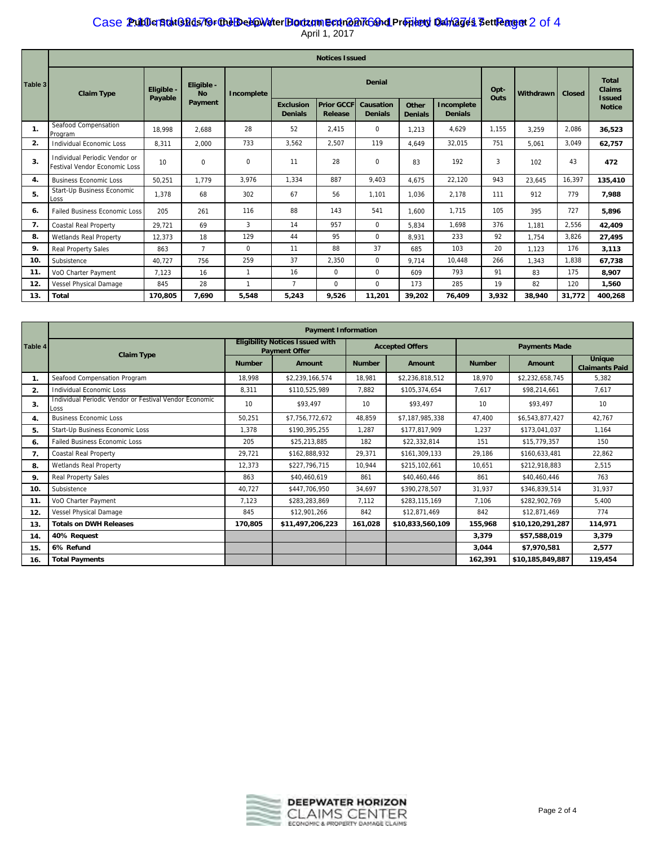# Case Public Btat Ghds7Gr the BeepWater Horizon Economic and Property Damages Settlemget 2 of 4

|  |  |  | April 1, 2017 |
|--|--|--|---------------|
|--|--|--|---------------|

|         | <b>Notices Issued</b>                                          |                       |                                    |              |                                    |                              |                             |                         |                              |              |           |               |                                |
|---------|----------------------------------------------------------------|-----------------------|------------------------------------|--------------|------------------------------------|------------------------------|-----------------------------|-------------------------|------------------------------|--------------|-----------|---------------|--------------------------------|
| Table 3 | <b>Claim Type</b>                                              | Eligible -<br>Payable | Eligible -<br><b>No</b><br>Payment | Incomplete   | <b>Denial</b>                      |                              |                             |                         |                              | Opt-<br>Outs | Withdrawn | <b>Closed</b> | <b>Total</b><br><b>Claims</b>  |
|         |                                                                |                       |                                    |              | <b>Exclusion</b><br><b>Denials</b> | <b>Prior GCCF</b><br>Release | Causation<br><b>Denials</b> | Other<br><b>Denials</b> | Incomplete<br><b>Denials</b> |              |           |               | <b>Issued</b><br><b>Notice</b> |
| 1.      | Seafood Compensation<br>Program                                | 18,998                | 2.688                              | 28           | 52                                 | 2,415                        | 0                           | 1,213                   | 4,629                        | 1,155        | 3,259     | 2,086         | 36,523                         |
| 2.      | Individual Economic Loss                                       | 8,311                 | 2,000                              | 733          | 3,562                              | 2,507                        | 119                         | 4.649                   | 32,015                       | 751          | 5,061     | 3,049         | 62,757                         |
| 3.      | Individual Periodic Vendor or<br>Festival Vendor Economic Loss | 10                    | 0                                  | $\Omega$     | 11                                 | 28                           | 0                           | 83                      | 192                          | 3            | 102       | 43            | 472                            |
| 4.      | <b>Business Economic Loss</b>                                  | 50,251                | 1.779                              | 3.976        | 1.334                              | 887                          | 9,403                       | 4,675                   | 22,120                       | 943          | 23,645    | 16,397        | 135,410                        |
| 5.      | Start-Up Business Economic<br>Loss                             | 1,378                 | 68                                 | 302          | 67                                 | 56                           | 1,101                       | 1.036                   | 2,178                        | 111          | 912       | 779           | 7,988                          |
| 6.      | Failed Business Economic Loss                                  | 205                   | 261                                | 116          | 88                                 | 143                          | 541                         | 1.600                   | 1.715                        | 105          | 395       | 727           | 5,896                          |
| 7.      | Coastal Real Property                                          | 29.721                | 69                                 | 3            | 14                                 | 957                          | $\Omega$                    | 5.834                   | 1,698                        | 376          | 1.181     | 2,556         | 42,409                         |
| 8.      | Wetlands Real Property                                         | 12,373                | 18                                 | 129          | 44                                 | 95                           | $\Omega$                    | 8.931                   | 233                          | 92           | 1.754     | 3,826         | 27,495                         |
| 9.      | <b>Real Property Sales</b>                                     | 863                   | $\overline{7}$                     | $\Omega$     | 11                                 | 88                           | 37                          | 685                     | 103                          | 20           | 1.123     | 176           | 3.113                          |
| 10.     | Subsistence                                                    | 40,727                | 756                                | 259          | 37                                 | 2,350                        | 0                           | 9.714                   | 10,448                       | 266          | 1.343     | 1,838         | 67,738                         |
| 11.     | VoO Charter Payment                                            | 7,123                 | 16                                 | $\mathbf{1}$ | 16                                 | 0                            | 0                           | 609                     | 793                          | 91           | 83        | 175           | 8,907                          |
| 12.     | Vessel Physical Damage                                         | 845                   | 28                                 | $\mathbf{1}$ | $\overline{7}$                     | $\Omega$                     | $\Omega$                    | 173                     | 285                          | 19           | 82        | 120           | 1,560                          |
| 13.     | Total                                                          | 170.805               | 7.690                              | 5,548        | 5,243                              | 9,526                        | 11,201                      | 39.202                  | 76.409                       | 3,932        | 38.940    | 31,772        | 400.268                        |

|         | <b>Payment Information</b>                                     |                                                                |                  |                        |                  |                      |                  |                                 |  |  |
|---------|----------------------------------------------------------------|----------------------------------------------------------------|------------------|------------------------|------------------|----------------------|------------------|---------------------------------|--|--|
| Table 4 |                                                                | <b>Eligibility Notices Issued with</b><br><b>Payment Offer</b> |                  | <b>Accepted Offers</b> |                  | <b>Payments Made</b> |                  |                                 |  |  |
|         | <b>Claim Type</b>                                              | <b>Number</b>                                                  | Amount           | <b>Number</b>          | Amount           | <b>Number</b>        | Amount           | Unique<br><b>Claimants Paid</b> |  |  |
| 1.      | Seafood Compensation Program                                   | 18.998                                                         | \$2,239,166,574  | 18.981                 | \$2,236,818,512  | 18,970               | \$2,232,658,745  | 5,382                           |  |  |
| 2.      | <b>Individual Economic Loss</b>                                | 8,311                                                          | \$110,525,989    | 7.882                  | \$105,374,654    | 7,617                | \$98,214,661     | 7,617                           |  |  |
| 3.      | Individual Periodic Vendor or Festival Vendor Economic<br>Loss | 10                                                             | \$93.497         | 10                     | \$93.497         | 10                   | \$93,497         | 10                              |  |  |
| 4.      | <b>Business Economic Loss</b>                                  | 50,251                                                         | \$7,756,772,672  | 48,859                 | \$7,187,985,338  | 47,400               | \$6,543,877,427  | 42,767                          |  |  |
| 5.      | Start-Up Business Economic Loss                                | 1,378                                                          | \$190,395,255    | 1,287                  | \$177,817,909    | 1,237                | \$173,041,037    | 1.164                           |  |  |
| 6.      | <b>Failed Business Economic Loss</b>                           | 205                                                            | \$25,213,885     | 182                    | \$22,332,814     | 151                  | \$15,779,357     | 150                             |  |  |
| 7.      | Coastal Real Property                                          | 29,721                                                         | \$162,888,932    | 29,371                 | \$161,309,133    | 29,186               | \$160.633.481    | 22,862                          |  |  |
| 8.      | Wetlands Real Property                                         | 12,373                                                         | \$227,796,715    | 10,944                 | \$215,102,661    | 10,651               | \$212,918,883    | 2,515                           |  |  |
| 9.      | Real Property Sales                                            | 863                                                            | \$40,460,619     | 861                    | \$40,460,446     | 861                  | \$40,460,446     | 763                             |  |  |
| 10.     | Subsistence                                                    | 40.727                                                         | \$447,706,950    | 34.697                 | \$390,278,507    | 31,937               | \$346.839.514    | 31,937                          |  |  |
| 11.     | VoO Charter Payment                                            | 7,123                                                          | \$283,283,869    | 7,112                  | \$283,115,169    | 7,106                | \$282,902,769    | 5,400                           |  |  |
| 12.     | Vessel Physical Damage                                         | 845                                                            | \$12,901,266     | 842                    | \$12,871,469     | 842                  | \$12,871,469     | 774                             |  |  |
| 13.     | <b>Totals on DWH Releases</b>                                  | 170,805                                                        | \$11,497,206,223 | 161,028                | \$10,833,560,109 | 155,968              | \$10,120,291,287 | 114,971                         |  |  |
| 14.     | 40% Request                                                    |                                                                |                  |                        |                  | 3,379                | \$57,588,019     | 3,379                           |  |  |
| 15.     | 6% Refund                                                      |                                                                |                  |                        |                  | 3.044                | \$7,970.581      | 2,577                           |  |  |
| 16.     | <b>Total Payments</b>                                          |                                                                |                  |                        |                  | 162,391              | \$10.185.849.887 | 119,454                         |  |  |

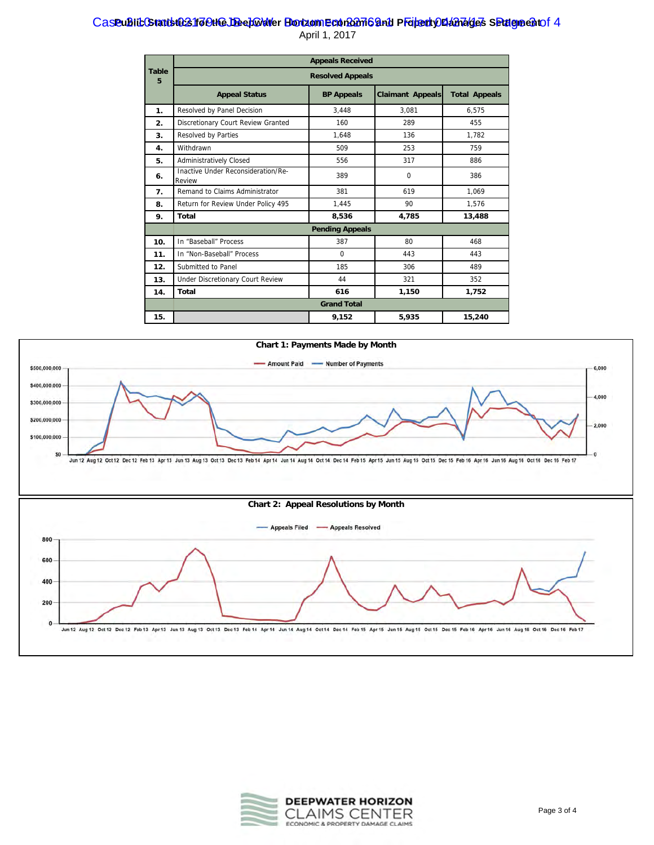#### Case ublic Statistics fo ethe Deepwater Horizon Economic and Property Damages Settlement of 4 April 1, 2017

|                   | <b>Appeals Received</b>                      |                        |                         |                      |  |  |  |  |  |
|-------------------|----------------------------------------------|------------------------|-------------------------|----------------------|--|--|--|--|--|
| <b>Table</b><br>5 | <b>Resolved Appeals</b>                      |                        |                         |                      |  |  |  |  |  |
|                   | <b>Appeal Status</b>                         | <b>BP Appeals</b>      | <b>Claimant Appeals</b> | <b>Total Appeals</b> |  |  |  |  |  |
| 1.                | Resolved by Panel Decision                   | 3,448                  | 3,081                   | 6,575                |  |  |  |  |  |
| 2.                | Discretionary Court Review Granted           | 160                    | 289                     | 455                  |  |  |  |  |  |
| 3.                | Resolved by Parties                          | 1.648                  | 136                     | 1.782                |  |  |  |  |  |
| 4.                | Withdrawn                                    | 509                    | 253                     | 759                  |  |  |  |  |  |
| 5.                | Administratively Closed                      | 556                    | 317                     | 886                  |  |  |  |  |  |
| 6.                | Inactive Under Reconsideration/Re-<br>Review | 389                    | 0                       | 386                  |  |  |  |  |  |
| 7.                | Remand to Claims Administrator               | 381                    | 619                     | 1,069                |  |  |  |  |  |
| 8.                | Return for Review Under Policy 495           | 1,445                  | 90                      | 1,576                |  |  |  |  |  |
| 9.                | <b>Total</b>                                 | 8,536                  | 4,785                   | 13,488               |  |  |  |  |  |
|                   |                                              | <b>Pending Appeals</b> |                         |                      |  |  |  |  |  |
| 10.               | In "Baseball" Process                        | 387                    | 80                      | 468                  |  |  |  |  |  |
| 11.               | In "Non-Baseball" Process                    | $\Omega$               | 443                     | 443                  |  |  |  |  |  |
| 12.               | Submitted to Panel                           | 185                    | 306                     | 489                  |  |  |  |  |  |
| 13.               | Under Discretionary Court Review             | 44                     | 321                     | 352                  |  |  |  |  |  |
| 14.               | <b>Total</b>                                 | 616                    | 1,150                   | 1,752                |  |  |  |  |  |
|                   |                                              | <b>Grand Total</b>     |                         |                      |  |  |  |  |  |
| 15.               |                                              | 9,152                  | 5.935                   | 15,240               |  |  |  |  |  |